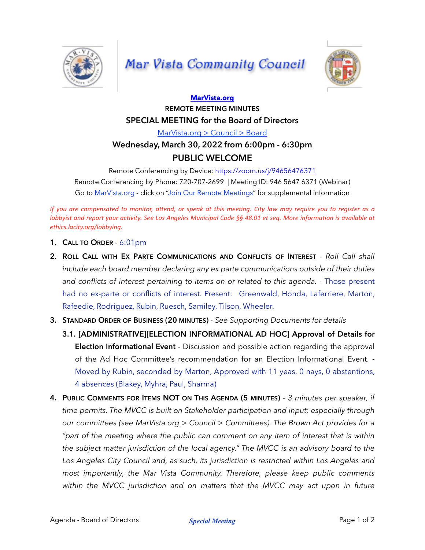

## **Mar Vista Community Council**



## **[MarVista.org](http://MarVista.org) REMOTE MEETING MINUTES SPECIAL MEETING for the Board of Directors**

[MarVista.org > Council > Board](https://www.marvista.org/committees/viewCommittee/board-of-directors)

## **Wednesday, March 30, 2022 from 6:00pm - 6:30pm PUBLIC WELCOME**

Remote Conferencing by Device:<https://zoom.us/j/94656476371> Remote Conferencing by Phone: 720-707-2699 | Meeting ID: 946 5647 6371 (Webinar) Go to MarVista.org - click on "Join Our Remote Meetings" for supplemental information

*If* you are compensated to monitor, attend, or speak at this meeting. City law may require you to register as a *lobbyist and report your activity. See Los Angeles Municipal Code §§ 48.01 et seq. More information is available at [ethics.lacity.org/lobbying](http://ethics.lacity.org/lobbying).*

- **1. CALL TO ORDER** 6:01pm
- **2. ROLL CALL WITH EX PARTE COMMUNICATIONS AND CONFLICTS OF INTEREST**  *Roll Call shall include each board member declaring any ex parte communications outside of their duties*  and conflicts of interest pertaining to items on or related to this agenda. - Those present had no ex-parte or conflicts of interest. Present: Greenwald, Honda, Laferriere, Marton, Rafeedie, Rodriguez, Rubin, Ruesch, Samiley, Tilson, Wheeler.
- **3. STANDARD ORDER OF BUSINESS (20 MINUTES)** *See Supporting Documents for details*
	- **3.1. [ADMINISTRATIVE][ELECTION INFORMATIONAL AD HOC] Approval of Details for Election Informational Event** - Discussion and possible action regarding the approval of the Ad Hoc Committee's recommendation for an Election Informational Event. **-**  Moved by Rubin, seconded by Marton, Approved with 11 yeas, 0 nays, 0 abstentions, 4 absences (Blakey, Myhra, Paul, Sharma)
- **4. PUBLIC COMMENTS FOR ITEMS NOT ON THIS AGENDA (5 MINUTES)**  *3 minutes per speaker, if time permits. The MVCC is built on Stakeholder participation and input; especially through our committees (see [MarVista.org](http://MarVista.org) > Council > Committees). The Brown Act provides for a "part of the meeting where the public can comment on any item of interest that is within the subject matter jurisdiction of the local agency." The MVCC is an advisory board to the*  Los Angeles City Council and, as such, its jurisdiction is restricted within Los Angeles and *most importantly, the Mar Vista Community. Therefore, please keep public comments*  within the MVCC jurisdiction and on matters that the MVCC may act upon in future